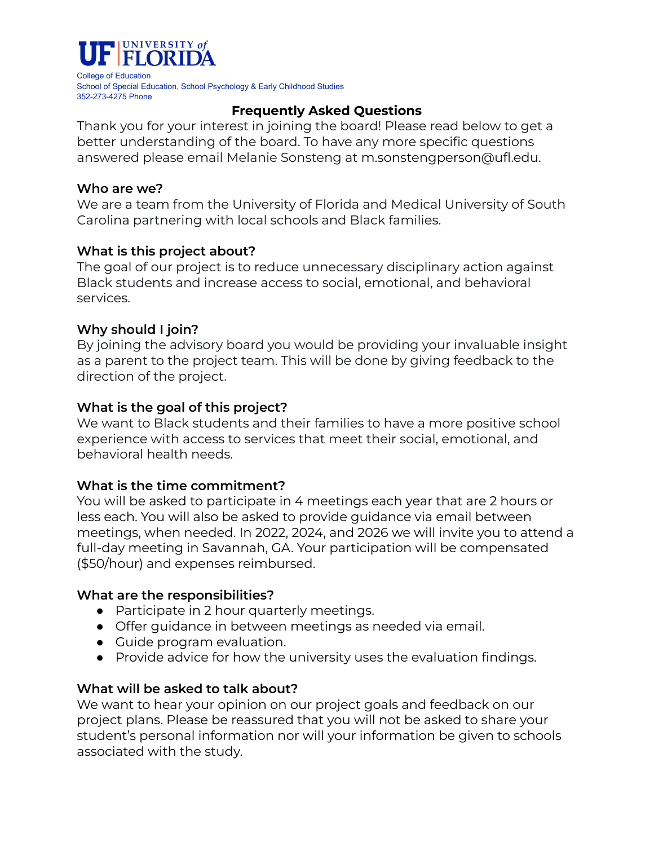

College of Education School of Special Education, School Psychology & Early Childhood Studies 352-273-4275 Phone

# **Frequently Asked Questions**

Thank you for your interest in joining the board! Please read below to get a better understanding of the board. To have any more specific questions answered please email Melanie Sonsteng at m.sonstengperson@ufl.edu.

### **Who are we?**

We are a team from the University of Florida and Medical University of South Carolina partnering with local schools and Black families.

# **What is this project about?**

The goal of our project is to reduce unnecessary disciplinary action against Black students and increase access to social, emotional, and behavioral services.

## **Why should I join?**

By joining the advisory board you would be providing your invaluable insight as a parent to the project team. This will be done by giving feedback to the direction of the project.

## **What is the goal of this project?**

We want to Black students and their families to have a more positive school experience with access to services that meet their social, emotional, and behavioral health needs.

# **What is the time commitment?**

You will be asked to participate in 4 meetings each year that are 2 hours or less each. You will also be asked to provide guidance via email between meetings, when needed. In 2022, 2024, and 2026 we will invite you to attend a full-day meeting in Savannah, GA. Your participation will be compensated (\$50/hour) and expenses reimbursed.

#### **What are the responsibilities?**

- Participate in 2 hour quarterly meetings.
- Offer guidance in between meetings as needed via email.
- Guide program evaluation.
- Provide advice for how the university uses the evaluation findings.

# **What will be asked to talk about?**

We want to hear your opinion on our project goals and feedback on our project plans. Please be reassured that you will not be asked to share your student's personal information nor will your information be given to schools associated with the study.